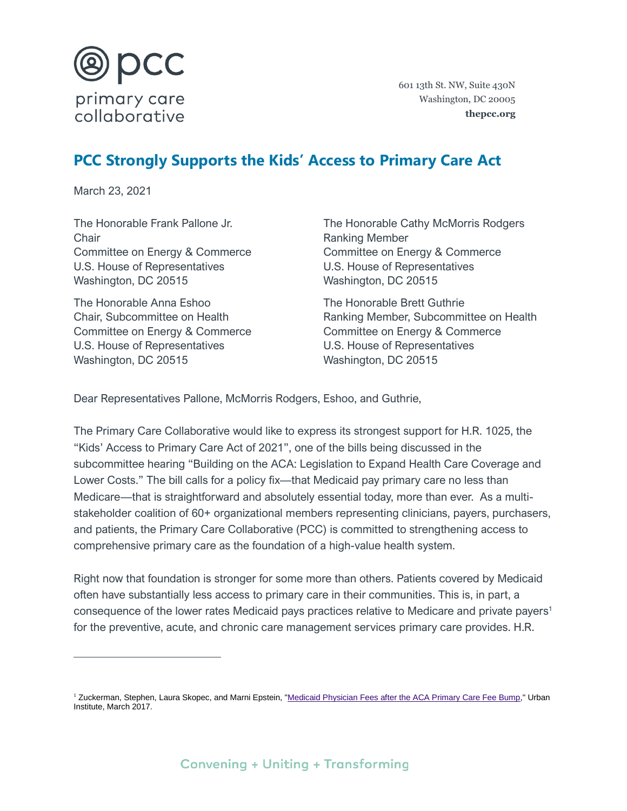

601 13th St. NW, Suite 430N Washington, DC 20005 **thepcc.org**

## **PCC Strongly Supports the Kids' Access to Primary Care Act**

March 23, 2021

The Honorable Frank Pallone Jr. **Chair** Committee on Energy & Commerce U.S. House of Representatives Washington, DC 20515

The Honorable Anna Eshoo Chair, Subcommittee on Health Committee on Energy & Commerce U.S. House of Representatives Washington, DC 20515

The Honorable Cathy McMorris Rodgers Ranking Member Committee on Energy & Commerce U.S. House of Representatives Washington, DC 20515

The Honorable Brett Guthrie Ranking Member, Subcommittee on Health Committee on Energy & Commerce U.S. House of Representatives Washington, DC 20515

Dear Representatives Pallone, McMorris Rodgers, Eshoo, and Guthrie,

The Primary Care Collaborative would like to express its strongest support for H.R. 1025, the "Kids' Access to Primary Care Act of 2021", one of the bills being discussed in the subcommittee hearing "Building on the ACA: Legislation to Expand Health Care Coverage and Lower Costs." The bill calls for a policy fix—that Medicaid pay primary care no less than Medicare—that is straightforward and absolutely essential today, more than ever. As a multistakeholder coalition of 60+ organizational members representing clinicians, payers, purchasers, and patients, the Primary Care Collaborative (PCC) is committed to strengthening access to comprehensive primary care as the foundation of a high-value health system.

Right now that foundation is stronger for some more than others. Patients covered by Medicaid often have substantially less access to primary care in their communities. This is, in part, a consequence of the lower rates Medicaid pays practices relative to Medicare and private payers<sup>1</sup> for the preventive, acute, and chronic care management services primary care provides. H.R.

<sup>&</sup>lt;sup>1</sup> Zuckerman, Stephen, Laura Skopec, and Marni Epstein, ["Medicaid Physician Fees after the ACA Primary Care Fee Bump,](https://www.urban.org/research/publication/medicaid-physician-fees-after-aca-primary-care-fee-bump/view/full_report)" Urban Institute, March 2017.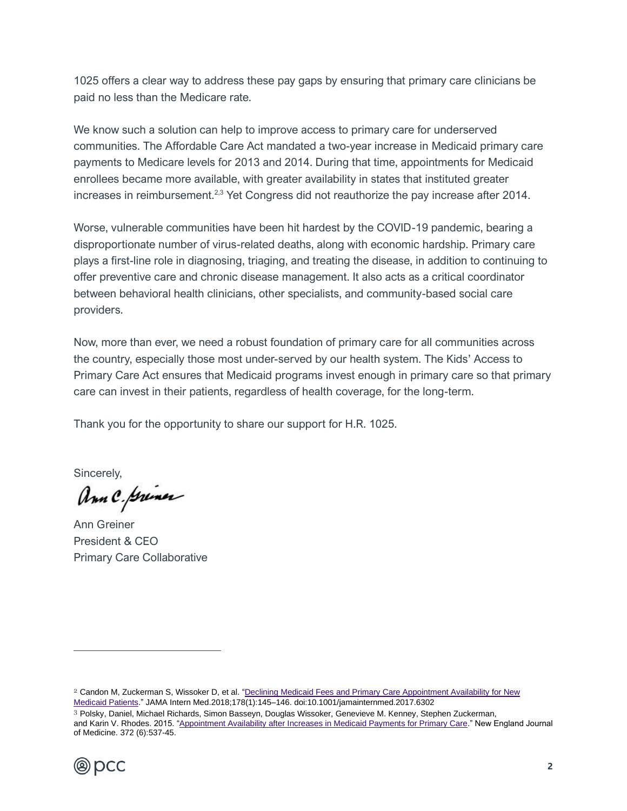1025 offers a clear way to address these pay gaps by ensuring that primary care clinicians be paid no less than the Medicare rate.

We know such a solution can help to improve access to primary care for underserved communities. The Affordable Care Act mandated a two-year increase in Medicaid primary care payments to Medicare levels for 2013 and 2014. During that time, appointments for Medicaid enrollees became more available, with greater availability in states that instituted greater increases in reimbursement.<sup>2,3</sup> Yet Congress did not reauthorize the pay increase after 2014.

Worse, vulnerable communities have been hit hardest by the COVID-19 pandemic, bearing a disproportionate number of virus-related deaths, along with economic hardship. Primary care plays a first-line role in diagnosing, triaging, and treating the disease, in addition to continuing to offer preventive care and chronic disease management. It also acts as a critical coordinator between behavioral health clinicians, other specialists, and community-based social care providers.

Now, more than ever, we need a robust foundation of primary care for all communities across the country, especially those most under-served by our health system. The Kids' Access to Primary Care Act ensures that Medicaid programs invest enough in primary care so that primary care can invest in their patients, regardless of health coverage, for the long-term.

Thank you for the opportunity to share our support for H.R. 1025.

Sincerely,

Ann C. primer

Ann Greiner President & CEO Primary Care Collaborative

<sup>3</sup> Polsky, Daniel, Michael Richards, Simon Basseyn, Douglas Wissoker, Genevieve M. Kenney, Stephen Zuckerman, and Karin V. Rhodes. 2015. ["Appointment Availability after Increases in Medicaid Payments for Primary Care.](http://www.nejm.org/doi/pdf/10.1056/NEJMsa1413299)" New England Journal of Medicine. 372 (6):537-45.



<sup>2</sup> Candon M, Zuckerman S, Wissoker D, et al. ["Declining Medicaid Fees and Primary Care Appointment Availability for New](https://jamanetwork.com/journals/jamainternalmedicine/fullarticle/2663253)  [Medicaid Patients.](https://jamanetwork.com/journals/jamainternalmedicine/fullarticle/2663253)" JAMA Intern Med.2018;178(1):145–146. doi:10.1001/jamainternmed.2017.6302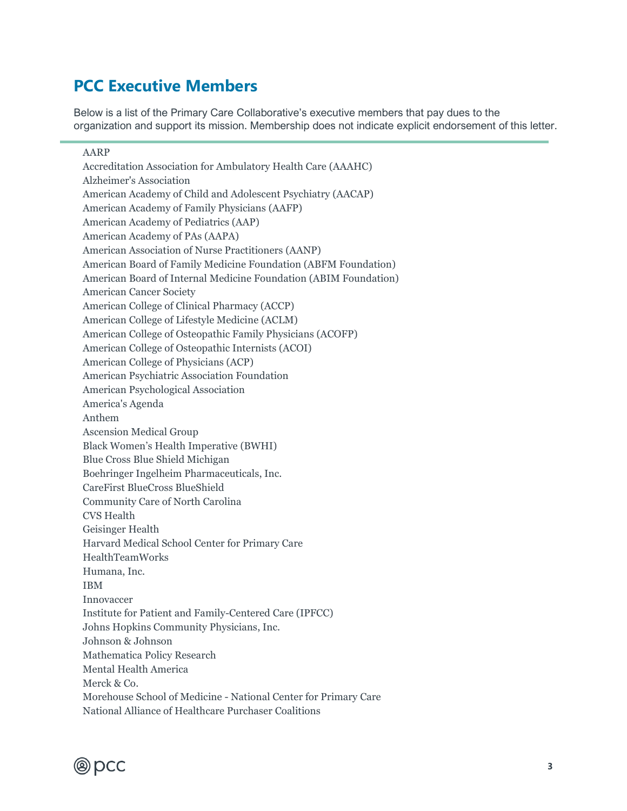## **PCC Executive Members**

Below is a list of the Primary Care Collaborative's executive members that pay dues to the organization and support its mission. Membership does not indicate explicit endorsement of this letter.

## AARP Accreditation Association for Ambulatory Health Care (AAAHC) Alzheimer's Association American Academy of Child and Adolescent Psychiatry (AACAP) American Academy of Family Physicians (AAFP) American Academy of Pediatrics (AAP) American Academy of PAs (AAPA) American Association of Nurse Practitioners (AANP) American Board of Family Medicine Foundation (ABFM Foundation) American Board of Internal Medicine Foundation (ABIM Foundation) American Cancer Society American College of Clinical Pharmacy (ACCP) American College of Lifestyle Medicine (ACLM) American College of Osteopathic Family Physicians (ACOFP) American College of Osteopathic Internists (ACOI) American College of Physicians (ACP) American Psychiatric Association Foundation American Psychological Association America's Agenda Anthem Ascension Medical Group Black Women's Health Imperative (BWHI) Blue Cross Blue Shield Michigan Boehringer Ingelheim Pharmaceuticals, Inc. CareFirst BlueCross BlueShield Community Care of North Carolina CVS Health Geisinger Health Harvard Medical School Center for Primary Care HealthTeamWorks Humana, Inc. IBM Innovaccer Institute for Patient and Family-Centered Care (IPFCC) Johns Hopkins Community Physicians, Inc. Johnson & Johnson Mathematica Policy Research Mental Health America Merck & Co. Morehouse School of Medicine - National Center for Primary Care National Alliance of Healthcare Purchaser Coalitions